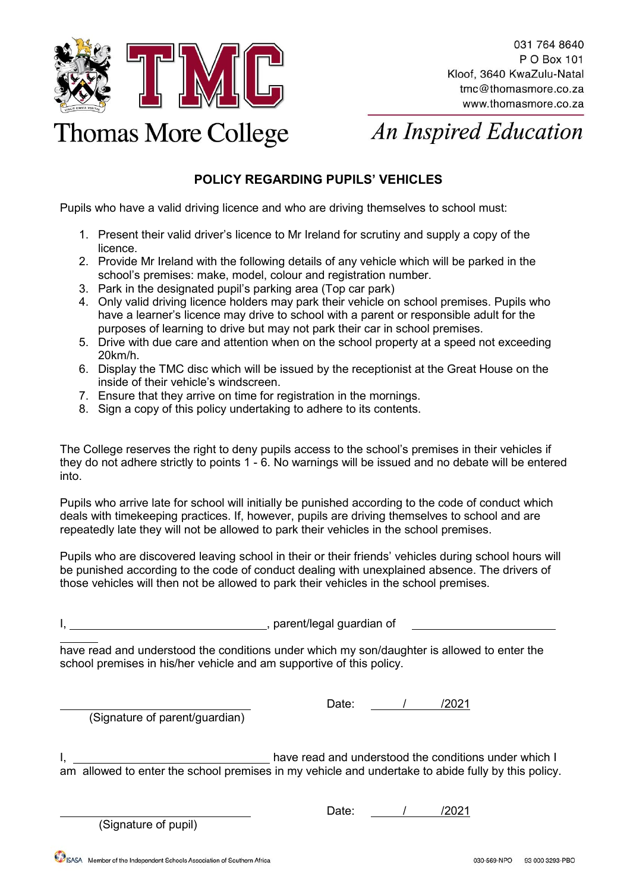

## **Thomas More College**

**An Inspired Education** 

## **POLICY REGARDING PUPILS' VEHICLES**

Pupils who have a valid driving licence and who are driving themselves to school must:

- 1. Present their valid driver's licence to Mr Ireland for scrutiny and supply a copy of the licence.
- 2. Provide Mr Ireland with the following details of any vehicle which will be parked in the school's premises: make, model, colour and registration number.
- 3. Park in the designated pupil's parking area (Top car park)
- 4. Only valid driving licence holders may park their vehicle on school premises. Pupils who have a learner's licence may drive to school with a parent or responsible adult for the purposes of learning to drive but may not park their car in school premises.
- 5. Drive with due care and attention when on the school property at a speed not exceeding 20km/h.
- 6. Display the TMC disc which will be issued by the receptionist at the Great House on the inside of their vehicle's windscreen.
- 7. Ensure that they arrive on time for registration in the mornings.
- 8. Sign a copy of this policy undertaking to adhere to its contents.

The College reserves the right to deny pupils access to the school's premises in their vehicles if they do not adhere strictly to points 1 - 6. No warnings will be issued and no debate will be entered into.

Pupils who arrive late for school will initially be punished according to the code of conduct which deals with timekeeping practices. If, however, pupils are driving themselves to school and are repeatedly late they will not be allowed to park their vehicles in the school premises.

Pupils who are discovered leaving school in their or their friends' vehicles during school hours will be punished according to the code of conduct dealing with unexplained absence. The drivers of those vehicles will then not be allowed to park their vehicles in the school premises.

I, hardware materials and particle in the parent/legal guardian of

have read and understood the conditions under which my son/daughter is allowed to enter the school premises in his/her vehicle and am supportive of this policy.

(Signature of parent/guardian)

Date: 1 / /2021

I, have read and understood the conditions under which I am allowed to enter the school premises in my vehicle and undertake to abide fully by this policy.

(Signature of pupil)

Date: <u>/ /2021</u>